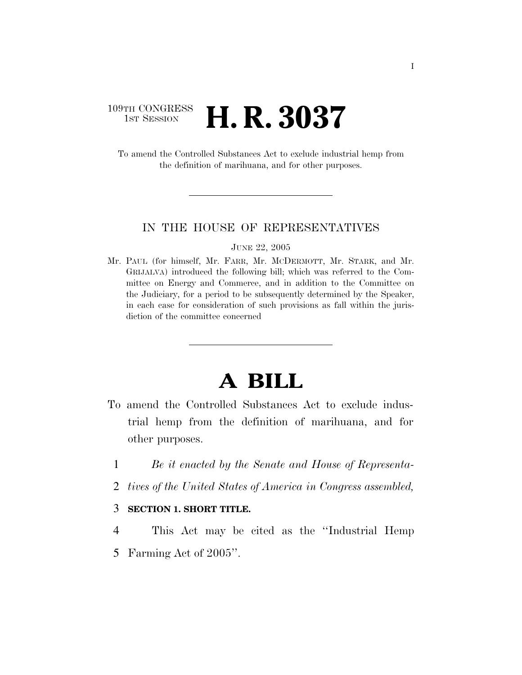### 109TH CONGRESS **1st Session H. R. 3037**

To amend the Controlled Substances Act to exclude industrial hemp from the definition of marihuana, and for other purposes.

### IN THE HOUSE OF REPRESENTATIVES

JUNE 22, 2005

Mr. PAUL (for himself, Mr. FARR, Mr. MCDERMOTT, Mr. STARK, and Mr. GRIJALVA) introduced the following bill; which was referred to the Committee on Energy and Commerce, and in addition to the Committee on the Judiciary, for a period to be subsequently determined by the Speaker, in each case for consideration of such provisions as fall within the jurisdiction of the committee concerned

## **A BILL**

- To amend the Controlled Substances Act to exclude industrial hemp from the definition of marihuana, and for other purposes.
	- 1 *Be it enacted by the Senate and House of Representa-*
	- 2 *tives of the United States of America in Congress assembled,*

#### 3 **SECTION 1. SHORT TITLE.**

4 This Act may be cited as the ''Industrial Hemp

5 Farming Act of 2005''.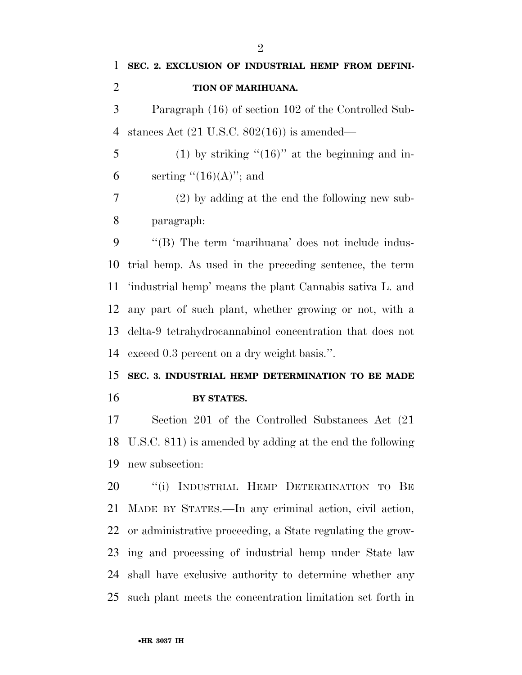# **BY STATES.**

 Section 201 of the Controlled Substances Act (21 U.S.C. 811) is amended by adding at the end the following new subsection:

20 "(i) INDUSTRIAL HEMP DETERMINATION TO BE MADE BY STATES.—In any criminal action, civil action, or administrative proceeding, a State regulating the grow- ing and processing of industrial hemp under State law shall have exclusive authority to determine whether any such plant meets the concentration limitation set forth in